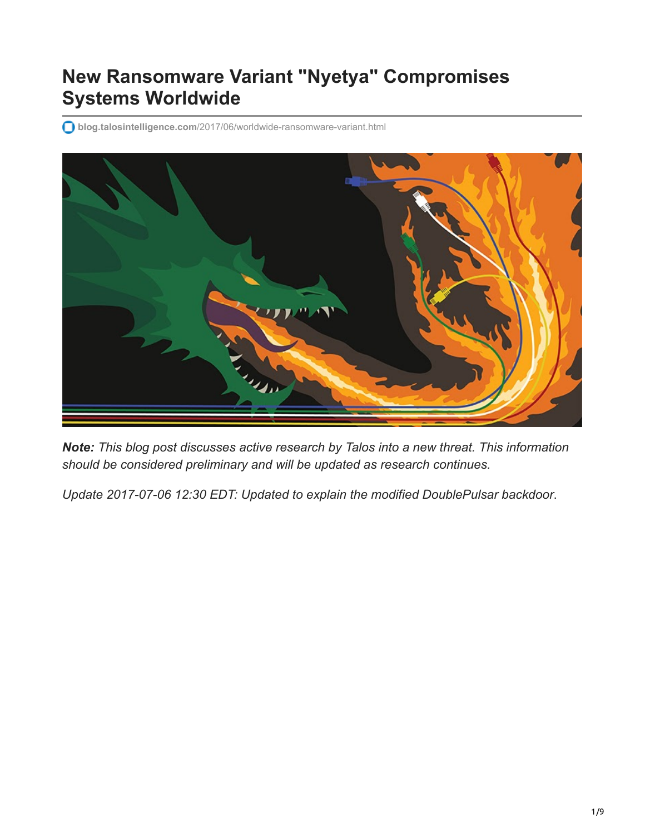# **New Ransomware Variant "Nyetya" Compromises Systems Worldwide**

**blog.talosintelligence.com**[/2017/06/worldwide-ransomware-variant.html](http://blog.talosintelligence.com/2017/06/worldwide-ransomware-variant.html)



*Note: This blog post discusses active research by Talos into a new threat. This information should be considered preliminary and will be updated as research continues.*

*Update 2017-07-06 12:30 EDT: Updated to explain the modified DoublePulsar backdoor*.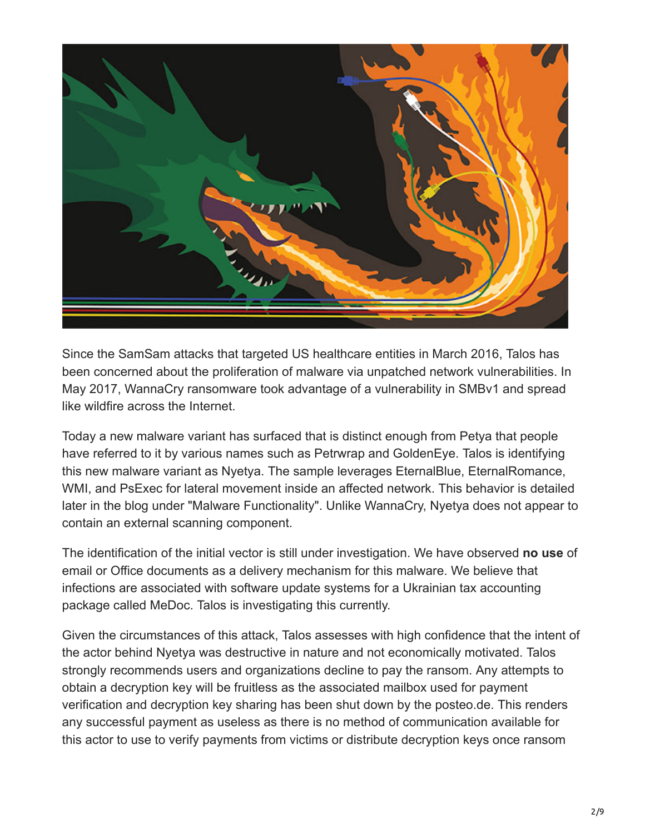

Since the SamSam attacks that targeted US healthcare entities in March 2016, Talos has been concerned about the proliferation of malware via unpatched network vulnerabilities. In May 2017, WannaCry ransomware took advantage of a vulnerability in SMBv1 and spread like wildfire across the Internet.

Today a new malware variant has surfaced that is distinct enough from Petya that people have referred to it by various names such as Petrwrap and GoldenEye. Talos is identifying this new malware variant as Nyetya. The sample leverages EternalBlue, EternalRomance, WMI, and PsExec for lateral movement inside an affected network. This behavior is detailed later in the blog under "Malware Functionality". Unlike WannaCry, Nyetya does not appear to contain an external scanning component.

The identification of the initial vector is still under investigation. We have observed **no use** of email or Office documents as a delivery mechanism for this malware. We believe that infections are associated with software update systems for a Ukrainian tax accounting package called MeDoc. Talos is investigating this currently.

Given the circumstances of this attack, Talos assesses with high confidence that the intent of the actor behind Nyetya was destructive in nature and not economically motivated. Talos strongly recommends users and organizations decline to pay the ransom. Any attempts to obtain a decryption key will be fruitless as the associated mailbox used for payment verification and decryption key sharing has been shut down by the posteo.de. This renders any successful payment as useless as there is no method of communication available for this actor to use to verify payments from victims or distribute decryption keys once ransom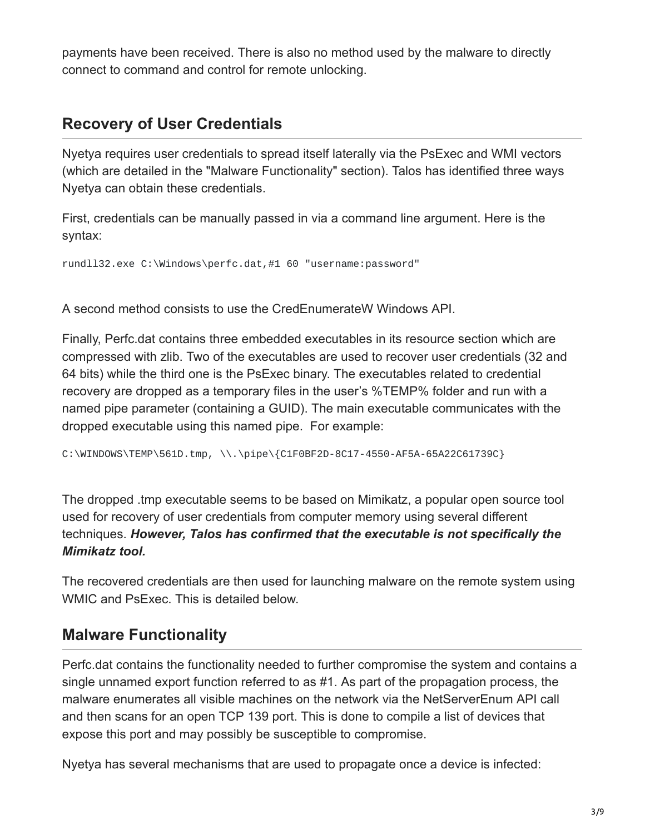payments have been received. There is also no method used by the malware to directly connect to command and control for remote unlocking.

#### **Recovery of User Credentials**

Nyetya requires user credentials to spread itself laterally via the PsExec and WMI vectors (which are detailed in the "Malware Functionality" section). Talos has identified three ways Nyetya can obtain these credentials.

First, credentials can be manually passed in via a command line argument. Here is the syntax:

rundll32.exe C:\Windows\perfc.dat,#1 60 "username:password"

A second method consists to use the CredEnumerateW Windows API.

Finally, Perfc.dat contains three embedded executables in its resource section which are compressed with zlib. Two of the executables are used to recover user credentials (32 and 64 bits) while the third one is the PsExec binary. The executables related to credential recovery are dropped as a temporary files in the user's %TEMP% folder and run with a named pipe parameter (containing a GUID). The main executable communicates with the dropped executable using this named pipe. For example:

C:\WINDOWS\TEMP\561D.tmp, \\.\pipe\{C1F0BF2D-8C17-4550-AF5A-65A22C61739C}

The dropped .tmp executable seems to be based on Mimikatz, a popular open source tool used for recovery of user credentials from computer memory using several different techniques. *However, Talos has confirmed that the executable is not specifically the Mimikatz tool.*

The recovered credentials are then used for launching malware on the remote system using WMIC and PsExec. This is detailed below.

#### **Malware Functionality**

Perfc.dat contains the functionality needed to further compromise the system and contains a single unnamed export function referred to as #1. As part of the propagation process, the malware enumerates all visible machines on the network via the NetServerEnum API call and then scans for an open TCP 139 port. This is done to compile a list of devices that expose this port and may possibly be susceptible to compromise.

Nyetya has several mechanisms that are used to propagate once a device is infected: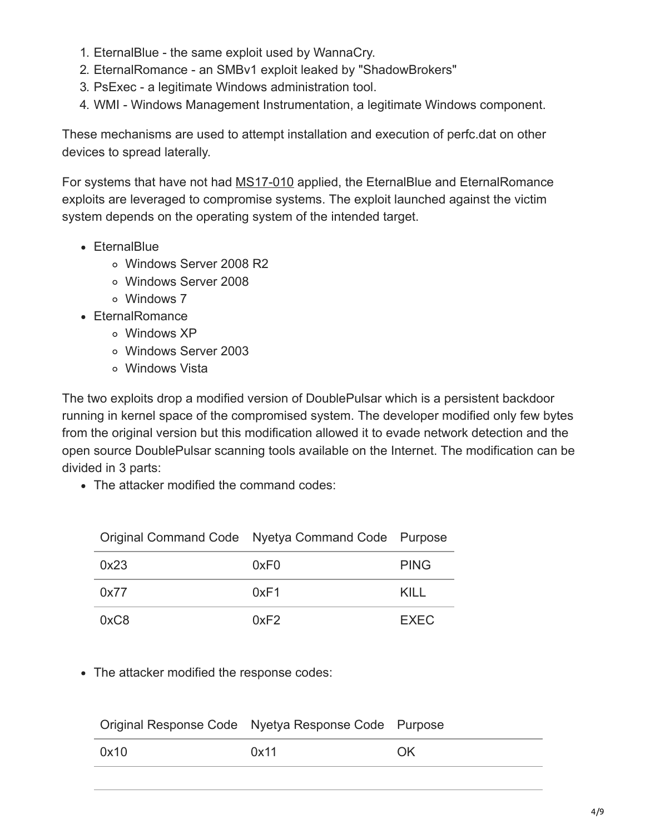- 1. EternalBlue the same exploit used by WannaCry.
- 2. EternalRomance an SMBv1 exploit leaked by "ShadowBrokers"
- 3. PsExec a legitimate Windows administration tool.
- 4. WMI Windows Management Instrumentation, a legitimate Windows component.

These mechanisms are used to attempt installation and execution of perfc.dat on other devices to spread laterally.

For systems that have not had [MS17-010](https://technet.microsoft.com/en-us/library/security/ms17-010.aspx) applied, the EternalBlue and EternalRomance exploits are leveraged to compromise systems. The exploit launched against the victim system depends on the operating system of the intended target.

- EternalBlue
	- Windows Server 2008 R2
	- Windows Server 2008
	- Windows 7
- EternalRomance
	- Windows XP
	- Windows Server 2003
	- Windows Vista

The two exploits drop a modified version of DoublePulsar which is a persistent backdoor running in kernel space of the compromised system. The developer modified only few bytes from the original version but this modification allowed it to evade network detection and the open source DoublePulsar scanning tools available on the Internet. The modification can be divided in 3 parts:

• The attacker modified the command codes:

| Original Command Code Nyetya Command Code Purpose |      |             |  |
|---------------------------------------------------|------|-------------|--|
| 0x23                                              | 0xF0 | <b>PING</b> |  |
| 0x77                                              | 0xF1 | KILL        |  |
| 0xC8                                              | 0xF2 | <b>EXEC</b> |  |

The attacker modified the response codes:

| Original Response Code Nyetya Response Code Purpose |      |           |
|-----------------------------------------------------|------|-----------|
| 0x10                                                | 0x11 | <b>OK</b> |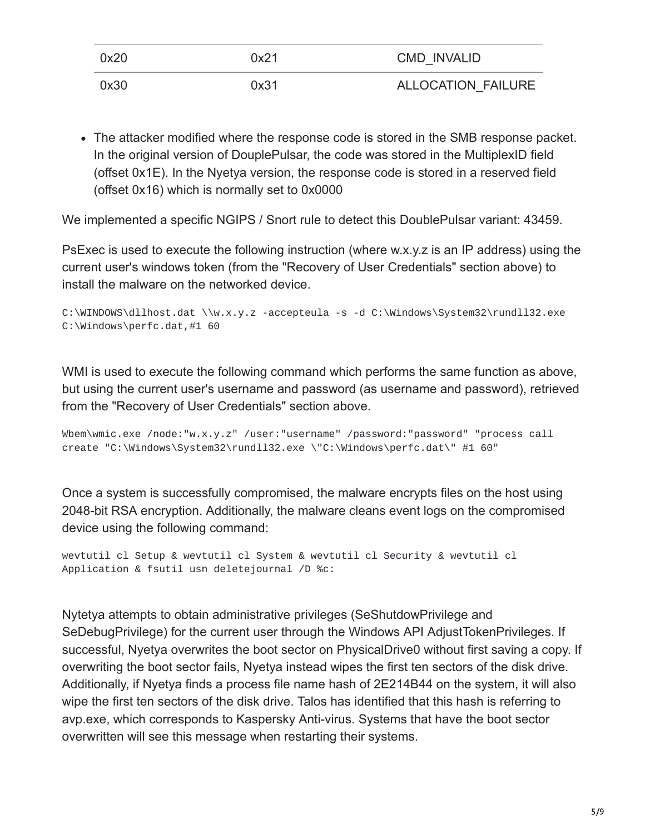| 0x20 | 0x21 | <b>CMD INVALID</b> |
|------|------|--------------------|
| 0x30 | 0x31 | ALLOCATION FAILURE |

The attacker modified where the response code is stored in the SMB response packet. In the original version of DouplePulsar, the code was stored in the MultiplexID field (offset 0x1E). In the Nyetya version, the response code is stored in a reserved field (offset 0x16) which is normally set to 0x0000

We implemented a specific NGIPS / Snort rule to detect this DoublePulsar variant: 43459.

PsExec is used to execute the following instruction (where w.x.y.z is an IP address) using the current user's windows token (from the "Recovery of User Credentials" section above) to install the malware on the networked device.

```
C:\WINDOWS\dllhost.dat \\w.x.y.z -accepteula -s -d C:\Windows\System32\rundll32.exe
C:\Windows\perfc.dat,#1 60
```
WMI is used to execute the following command which performs the same function as above, but using the current user's username and password (as username and password), retrieved from the "Recovery of User Credentials" section above.

```
Wbem\wmic.exe /node:"w.x.y.z" /user:"username" /password:"password" "process call
create "C:\Windows\System32\rundll32.exe \"C:\Windows\perfc.dat\" #1 60"
```
Once a system is successfully compromised, the malware encrypts files on the host using 2048-bit RSA encryption. Additionally, the malware cleans event logs on the compromised device using the following command:

wevtutil cl Setup & wevtutil cl System & wevtutil cl Security & wevtutil cl Application & fsutil usn deletejournal /D %c:

Nytetya attempts to obtain administrative privileges (SeShutdowPrivilege and SeDebugPrivilege) for the current user through the Windows API AdjustTokenPrivileges. If successful, Nyetya overwrites the boot sector on PhysicalDrive0 without first saving a copy. If overwriting the boot sector fails, Nyetya instead wipes the first ten sectors of the disk drive. Additionally, if Nyetya finds a process file name hash of 2E214B44 on the system, it will also wipe the first ten sectors of the disk drive. Talos has identified that this hash is referring to avp.exe, which corresponds to Kaspersky Anti-virus. Systems that have the boot sector overwritten will see this message when restarting their systems.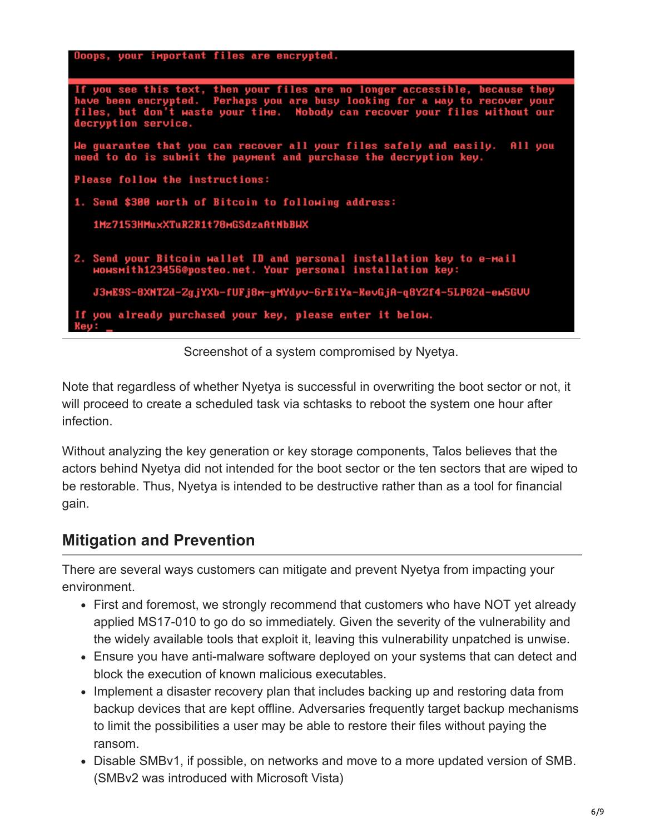| Doops, your important files are encrypted.                                                                                                                                                                                                                        |
|-------------------------------------------------------------------------------------------------------------------------------------------------------------------------------------------------------------------------------------------------------------------|
|                                                                                                                                                                                                                                                                   |
|                                                                                                                                                                                                                                                                   |
| If you see this text, then your files are no longer accessible, because they<br>have been encrypted. Perhaps you are busy looking for a way to recover your<br>files, but don't waste your time. Nobody can recover your files without our<br>decryption service. |
| We guarantee that you can recover all your files safely and easily.<br>All you<br>need to do is submit the payment and purchase the decryption key.                                                                                                               |
| Please follow the instructions:                                                                                                                                                                                                                                   |
| 1. Send \$300 worth of Bitcoin to following address:                                                                                                                                                                                                              |
| <b>1Mz7153HMuxXTuR2R1t78mGSdzaAtNbBWX</b>                                                                                                                                                                                                                         |
|                                                                                                                                                                                                                                                                   |
| 2. Send your Bitcoin wallet ID and personal installation key to e-mail<br>HOWSMith123456@posteo.net. Your personal installation key:                                                                                                                              |
| J3mE9S-8XNTZd-ZgjYXb-fUFj8m-gMYdyv-6rEiYa-KevGjA-q8YZf4-5LP82d-em5GVV                                                                                                                                                                                             |
| If you already purchased your key, please enter it below.<br><b>Key:</b>                                                                                                                                                                                          |

Screenshot of a system compromised by Nyetya.

Note that regardless of whether Nyetya is successful in overwriting the boot sector or not, it will proceed to create a scheduled task via schtasks to reboot the system one hour after infection.

Without analyzing the key generation or key storage components, Talos believes that the actors behind Nyetya did not intended for the boot sector or the ten sectors that are wiped to be restorable. Thus, Nyetya is intended to be destructive rather than as a tool for financial gain.

### **Mitigation and Prevention**

There are several ways customers can mitigate and prevent Nyetya from impacting your environment.

- First and foremost, we strongly recommend that customers who have NOT yet already applied MS17-010 to go do so immediately. Given the severity of the vulnerability and the widely available tools that exploit it, leaving this vulnerability unpatched is unwise.
- Ensure you have anti-malware software deployed on your systems that can detect and block the execution of known malicious executables.
- Implement a disaster recovery plan that includes backing up and restoring data from backup devices that are kept offline. Adversaries frequently target backup mechanisms to limit the possibilities a user may be able to restore their files without paying the ransom.
- Disable SMBv1, if possible, on networks and move to a more updated version of SMB. (SMBv2 was introduced with Microsoft Vista)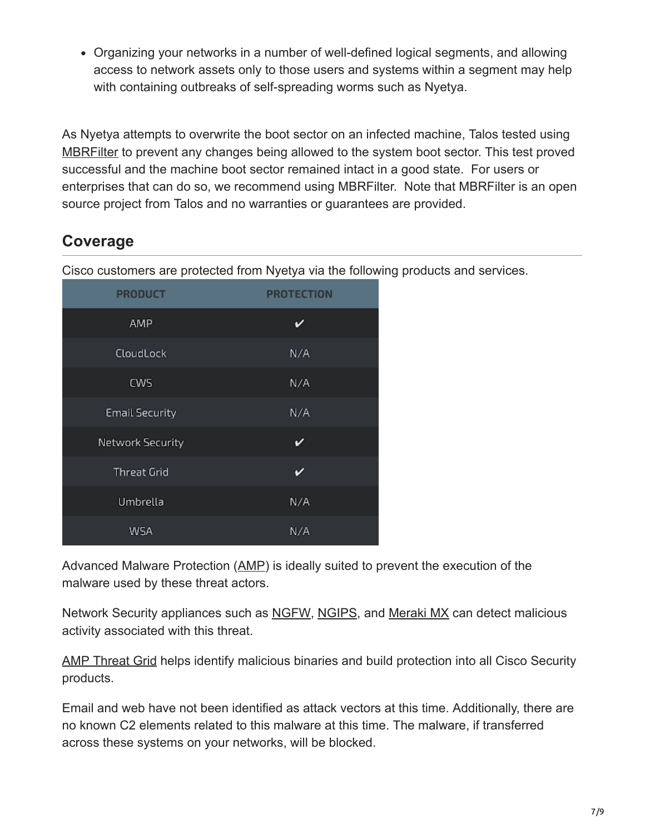Organizing your networks in a number of well-defined logical segments, and allowing access to network assets only to those users and systems within a segment may help with containing outbreaks of self-spreading worms such as Nyetya.

As Nyetya attempts to overwrite the boot sector on an infected machine, Talos tested using [MBRFilter](https://www.talosintelligence.com/mbrfilter) to prevent any changes being allowed to the system boot sector. This test proved successful and the machine boot sector remained intact in a good state. For users or enterprises that can do so, we recommend using MBRFilter. Note that MBRFilter is an open source project from Talos and no warranties or guarantees are provided.

### **Coverage**

Cisco customers are protected from Nyetya via the following products and services.

| <b>PRODUCT</b>        | <b>PROTECTION</b> |
|-----------------------|-------------------|
| AMP                   | v                 |
| CloudLock             | N/A               |
| <b>CWS</b>            | N/A               |
| <b>Email Security</b> | N/A               |
| Network Security      | ✓                 |
| <b>Threat Grid</b>    | v                 |
| Umbrella              | N/A               |
| WSA                   | N/A               |

Advanced Malware Protection ([AMP\)](https://www.cisco.com/c/en/us/support/security/amp-firepower-software-license/tsd-products-support-series-home.html) is ideally suited to prevent the execution of the malware used by these threat actors.

Network Security appliances such as [NGFW](https://www.cisco.com/c/en/us/products/security/asa-next-generation-firewall-services/index.html), [NGIPS](https://www.cisco.com/c/en/us/products/security/intrusion-prevention-system-ips/index.html), and [Meraki MX](https://meraki.cisco.com/products/appliances) can detect malicious activity associated with this threat.

[AMP Threat Grid](https://www.cisco.com/c/en/us/solutions/enterprise-networks/amp-threat-grid/index.html) helps identify malicious binaries and build protection into all Cisco Security products.

Email and web have not been identified as attack vectors at this time. Additionally, there are no known C2 elements related to this malware at this time. The malware, if transferred across these systems on your networks, will be blocked.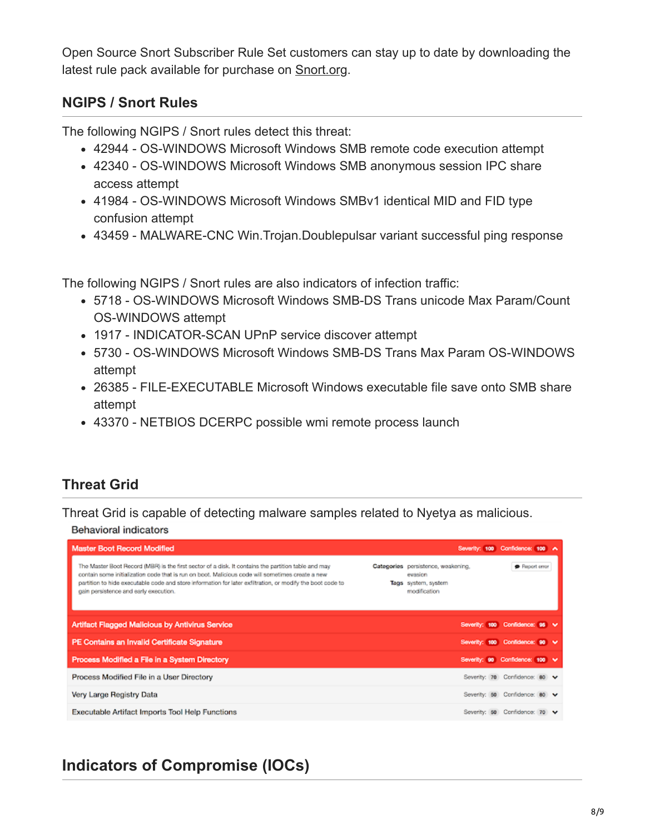Open Source Snort Subscriber Rule Set customers can stay up to date by downloading the latest rule pack available for purchase on [Snort.org.](https://www.snort.org/products)

#### **NGIPS / Snort Rules**

The following NGIPS / Snort rules detect this threat:

- 42944 OS-WINDOWS Microsoft Windows SMB remote code execution attempt
- 42340 OS-WINDOWS Microsoft Windows SMB anonymous session IPC share access attempt
- 41984 OS-WINDOWS Microsoft Windows SMBv1 identical MID and FID type confusion attempt
- 43459 MALWARE-CNC Win. Trojan. Doublepulsar variant successful ping response

The following NGIPS / Snort rules are also indicators of infection traffic:

- 5718 OS-WINDOWS Microsoft Windows SMB-DS Trans unicode Max Param/Count OS-WINDOWS attempt
- 1917 INDICATOR-SCAN UPnP service discover attempt
- 5730 OS-WINDOWS Microsoft Windows SMB-DS Trans Max Param OS-WINDOWS attempt
- 26385 FILE-EXECUTABLE Microsoft Windows executable file save onto SMB share attempt
- 43370 NETBIOS DCERPC possible wmi remote process launch

#### **Threat Grid**

Threat Grid is capable of detecting malware samples related to Nyetya as malicious.

#### **Behavioral indicators**

| <b>Master Boot Record Modified</b>                                                                                                                                                                                                                                                                                                                            |                                                                                      | Severity: 100 Confidence: 100 A |  |
|---------------------------------------------------------------------------------------------------------------------------------------------------------------------------------------------------------------------------------------------------------------------------------------------------------------------------------------------------------------|--------------------------------------------------------------------------------------|---------------------------------|--|
| The Master Boot Record (MBR) is the first sector of a disk. It contains the partition table and may<br>contain some initialization code that is run on boot. Malicious code will sometimes create a new<br>partition to hide executable code and store information for later exfitration, or modify the boot code to<br>gain persistence and early execution. | Categories persistence, weakening,<br>eussion<br>Tags system, system<br>modification | <b>B</b> Report error           |  |
| <b>Artifact Flagged Malicious by Antivirus Service</b>                                                                                                                                                                                                                                                                                                        |                                                                                      | Severity: 100 Confidence: 95 V  |  |
| PE Contains an Invalid Certificate Signature                                                                                                                                                                                                                                                                                                                  |                                                                                      | Severity: 100 Confidence: 90 V  |  |
| Process Modified a File in a System Directory                                                                                                                                                                                                                                                                                                                 |                                                                                      | Severity: 90 Confidence: 100 V  |  |
| Process Modified File in a User Directory                                                                                                                                                                                                                                                                                                                     |                                                                                      | Severity: 70 Confidence: 80 V   |  |
| Very Large Registry Data                                                                                                                                                                                                                                                                                                                                      |                                                                                      | Severity: 50 Confidence: 80 V   |  |
| <b>Executable Artifact Imports Tool Help Functions</b>                                                                                                                                                                                                                                                                                                        |                                                                                      | Severity: 50 Confidence: 70 V   |  |

## **Indicators of Compromise (IOCs)**